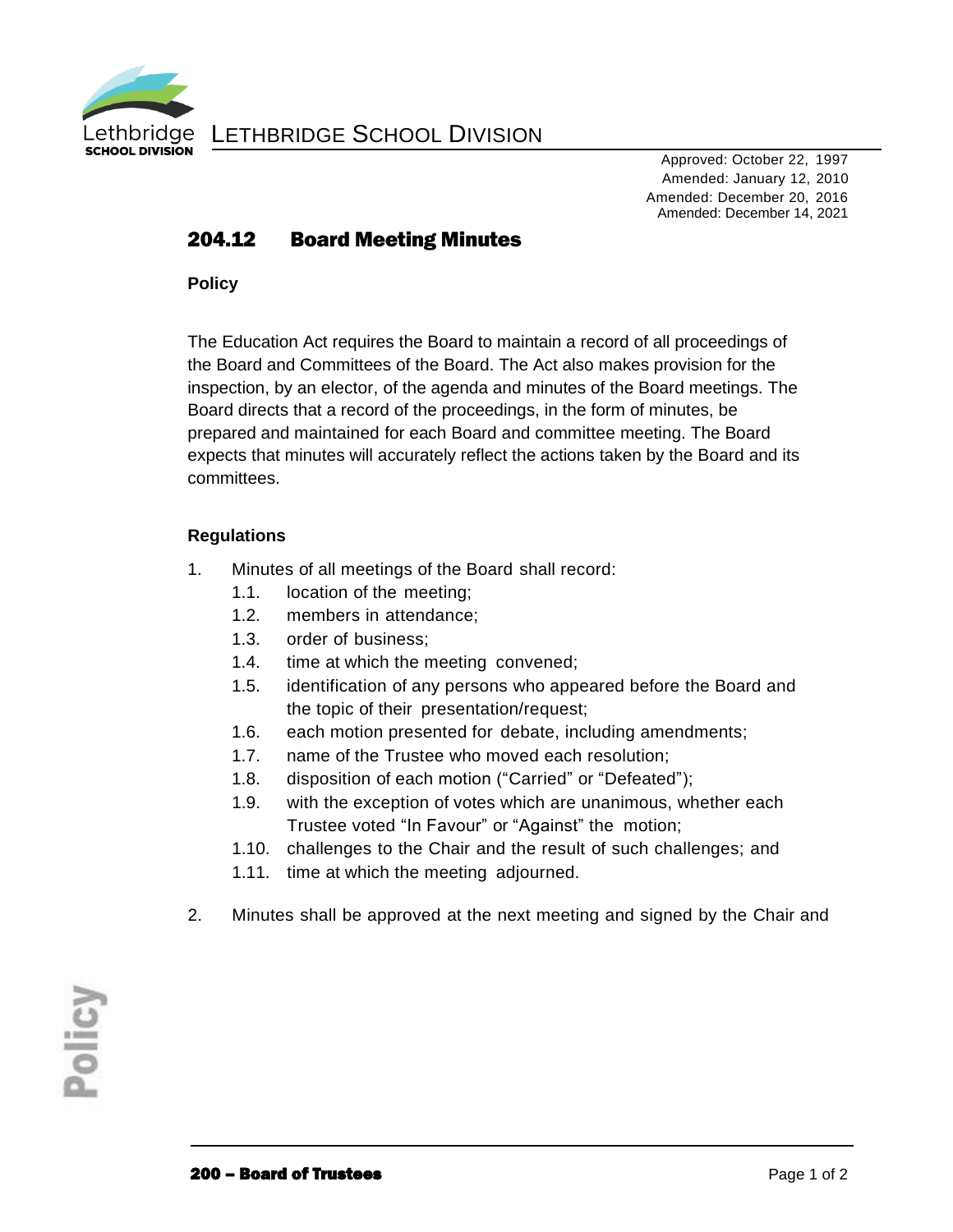

LETHBRIDGE SCHOOL DIVISION

Approved: October 22, 1997 Amended: January 12, 2010 Amended: December 20, 2016 Amended: December 14, 2021

## 204.12 Board Meeting Minutes

**Policy**

The Education Act requires the Board to maintain a record of all proceedings of the Board and Committees of the Board. The Act also makes provision for the inspection, by an elector, of the agenda and minutes of the Board meetings. The Board directs that a record of the proceedings, in the form of minutes, be prepared and maintained for each Board and committee meeting. The Board expects that minutes will accurately reflect the actions taken by the Board and its committees.

## **Regulations**

- 1. Minutes of all meetings of the Board shall record:
	- 1.1. location of the meeting;
	- 1.2. members in attendance;
	- 1.3. order of business;
	- 1.4. time at which the meeting convened;
	- 1.5. identification of any persons who appeared before the Board and the topic of their presentation/request;
	- 1.6. each motion presented for debate, including amendments;
	- 1.7. name of the Trustee who moved each resolution;
	- 1.8. disposition of each motion ("Carried" or "Defeated");
	- 1.9. with the exception of votes which are unanimous, whether each Trustee voted "In Favour" or "Against" the motion;
	- 1.10. challenges to the Chair and the result of such challenges; and
	- 1.11. time at which the meeting adjourned.
- 2. Minutes shall be approved at the next meeting and signed by the Chair and

Policy